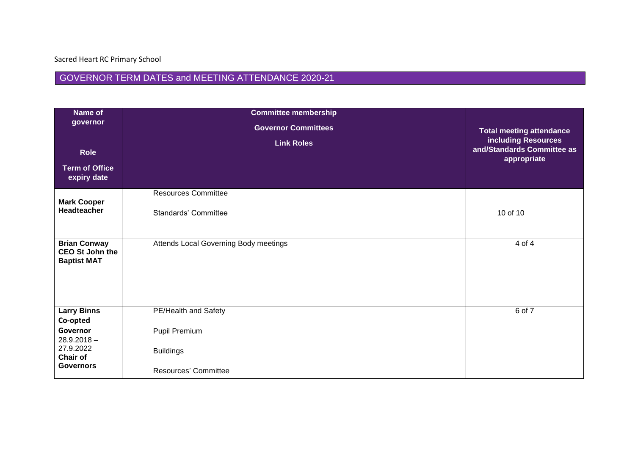## GOVERNOR TERM DATES and MEETING ATTENDANCE 2020-21

| Name of                                      | <b>Committee membership</b>           |                                           |
|----------------------------------------------|---------------------------------------|-------------------------------------------|
| governor                                     | <b>Governor Committees</b>            | <b>Total meeting attendance</b>           |
|                                              | <b>Link Roles</b>                     | <b>including Resources</b>                |
| <b>Role</b>                                  |                                       | and/Standards Committee as<br>appropriate |
| <b>Term of Office</b><br>expiry date         |                                       |                                           |
|                                              | <b>Resources Committee</b>            |                                           |
| <b>Mark Cooper</b><br>Headteacher            | Standards' Committee                  | 10 of 10                                  |
| <b>Brian Conway</b>                          | Attends Local Governing Body meetings | $4$ of $4$                                |
| <b>CEO St John the</b><br><b>Baptist MAT</b> |                                       |                                           |
| <b>Larry Binns</b>                           | PE/Health and Safety                  | 6 of 7                                    |
| Co-opted<br>Governor                         | Pupil Premium                         |                                           |
| $28.9.2018 -$                                |                                       |                                           |
| 27.9.2022<br><b>Chair of</b>                 | <b>Buildings</b>                      |                                           |
| <b>Governors</b>                             | <b>Resources' Committee</b>           |                                           |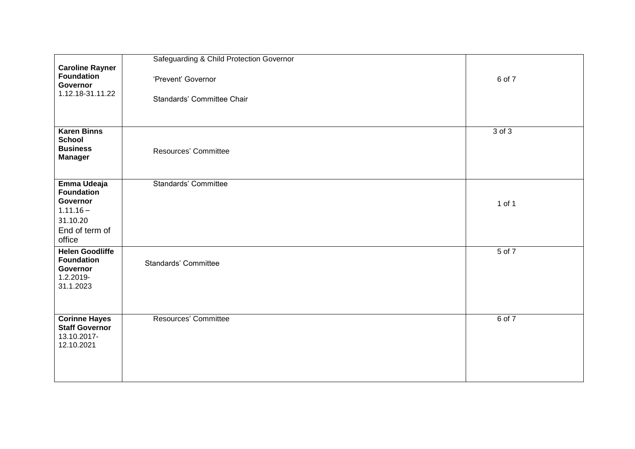|                                                                                   | Safeguarding & Child Protection Governor         |            |
|-----------------------------------------------------------------------------------|--------------------------------------------------|------------|
| <b>Caroline Rayner</b><br><b>Foundation</b><br>Governor<br>1.12.18-31.11.22       | 'Prevent' Governor<br>Standards' Committee Chair | 6 of 7     |
| <b>Karen Binns</b><br><b>School</b><br><b>Business</b><br><b>Manager</b>          | Resources' Committee                             | $3$ of $3$ |
| Emma Udeaja                                                                       | <b>Standards' Committee</b>                      |            |
| <b>Foundation</b><br>Governor<br>$1.11.16 -$                                      |                                                  | 1 of 1     |
| 31.10.20<br>End of term of<br>office                                              |                                                  |            |
| <b>Helen Goodliffe</b><br><b>Foundation</b><br>Governor<br>1.2.2019-<br>31.1.2023 | Standards' Committee                             | $5$ of $7$ |
| <b>Corinne Hayes</b><br><b>Staff Governor</b><br>13.10.2017-<br>12.10.2021        | Resources' Committee                             | $6$ of $7$ |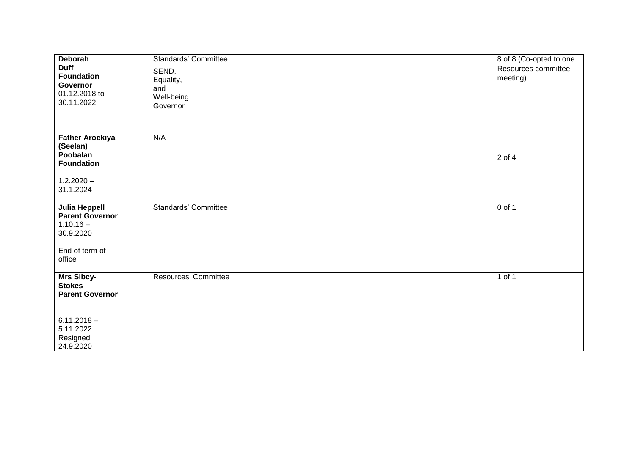| Deborah<br><b>Duff</b><br><b>Foundation</b><br>Governor<br>01.12.2018 to<br>30.11.2022                              | <b>Standards' Committee</b><br>SEND,<br>Equality,<br>and<br>Well-being<br>Governor | 8 of 8 (Co-opted to one<br>Resources committee<br>meeting) |
|---------------------------------------------------------------------------------------------------------------------|------------------------------------------------------------------------------------|------------------------------------------------------------|
| <b>Father Arockiya</b><br>(Seelan)<br>Poobalan<br><b>Foundation</b><br>$1.2.2020 -$<br>31.1.2024                    | N/A                                                                                | 2 of 4                                                     |
| Julia Heppell<br><b>Parent Governor</b><br>$1.10.16 -$<br>30.9.2020<br>End of term of<br>office                     | Standards' Committee                                                               | $0$ of 1                                                   |
| <b>Mrs Sibcy-</b><br><b>Stokes</b><br><b>Parent Governor</b><br>$6.11.2018 -$<br>5.11.2022<br>Resigned<br>24.9.2020 | Resources' Committee                                                               | $1$ of $1$                                                 |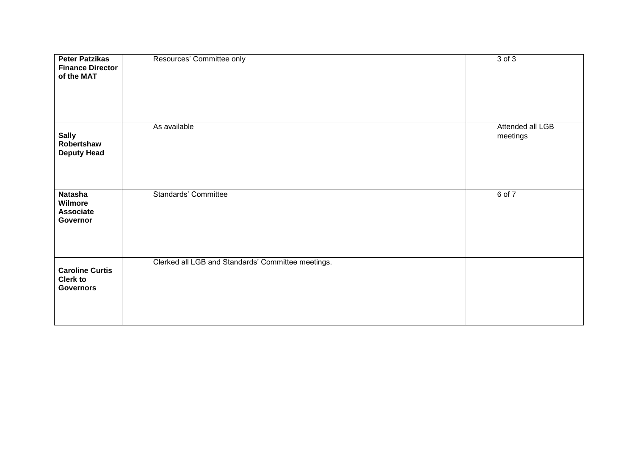| <b>Peter Patzikas</b><br><b>Finance Director</b><br>of the MAT | Resources' Committee only                          | 3 of 3                       |
|----------------------------------------------------------------|----------------------------------------------------|------------------------------|
| <b>Sally</b><br>Robertshaw<br><b>Deputy Head</b>               | As available                                       | Attended all LGB<br>meetings |
| Natasha<br>Wilmore<br><b>Associate</b><br>Governor             | <b>Standards' Committee</b>                        | 6 of 7                       |
| <b>Caroline Curtis</b><br><b>Clerk to</b><br><b>Governors</b>  | Clerked all LGB and Standards' Committee meetings. |                              |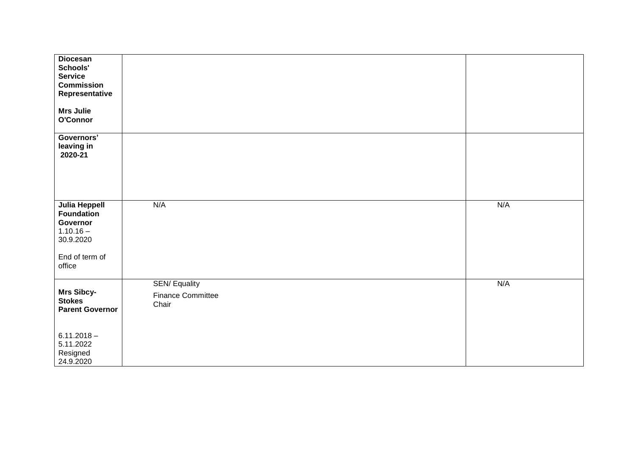| <b>Diocesan</b><br>Schools'<br><b>Service</b><br><b>Commission</b><br>Representative |                                                          |     |
|--------------------------------------------------------------------------------------|----------------------------------------------------------|-----|
| <b>Mrs Julie</b><br>O'Connor                                                         |                                                          |     |
| Governors'<br>leaving in<br>2020-21                                                  |                                                          |     |
| <b>Julia Heppell</b><br><b>Foundation</b><br>Governor<br>$1.10.16 -$<br>30.9.2020    | N/A                                                      | N/A |
| End of term of<br>office                                                             |                                                          |     |
| Mrs Sibcy-<br><b>Stokes</b><br><b>Parent Governor</b>                                | <b>SEN/Equality</b><br><b>Finance Committee</b><br>Chair | N/A |
| $6.11.2018 -$<br>5.11.2022<br>Resigned<br>24.9.2020                                  |                                                          |     |